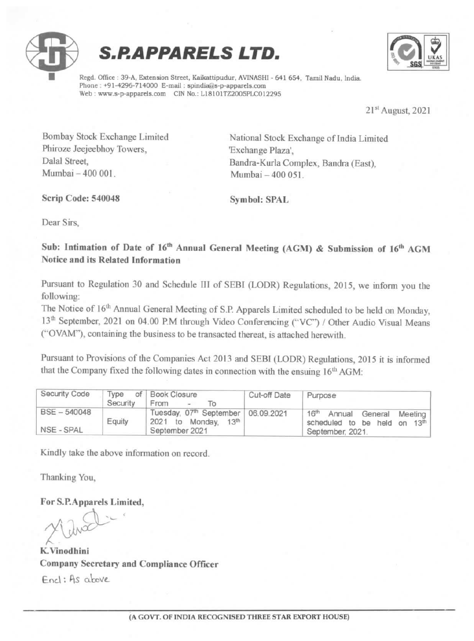





Regd. Office : 39-A, Extension Street, Kaikattipudur, AVINASHI - 641 654, Tamil Nadu, India. Phone : +91-4296-714000 E-mail : spindia@s-p-apparels.com Web : www.s-p-apparels.com CIN No.: L18101TZ2005PLC012295

21st August, 2021

Bombay Stock Exchange Limited National Stock Exchange of India Limited Phiroze Jeejeebhoy Towers,

'Exchange Plaza', Dalal Street, Bandra-Kurla Complex, Bandra (East),<br>Mumbai – 400 001. Mumbai – 400 051 Mumbai  $-400051$ .

Scrip Code: 540048 Symbol: SPAL

Dear Sirs,

Sub: Intimation of Date of 16<sup>th</sup> Annual General Meeting (AGM) & Submission of 16<sup>th</sup> AGM Notice and its Related Information

Pursuant to Regulation 30 and Schedule III of SEBI (LODR) Regulations, 2015, we inform you the

following:<br>The Notice of 16<sup>th</sup> Annual General Meeting of S.P. Apparels Limited scheduled to be held on Monday, 13<sup>th</sup> September, 2021 on 04.00 P.M through Video Conferencing ("VC") / Other Audio Visual Means ("OVAM"), containing the business to be transacted thereat, is attached herewith.

Pursuant to Provisions of the Companies Act <sup>2013</sup> and SEBI (LODR) Regulations, <sup>2015</sup> it is informed that the Company fixed the following dates in connection with the ensuing 16" AGM:

| Security Code  | Type<br>of <sub>1</sub><br>Security | <b>Book Closure</b><br>From<br>Τn                                                           | Cut-off Date | Purpose                                                                       |
|----------------|-------------------------------------|---------------------------------------------------------------------------------------------|--------------|-------------------------------------------------------------------------------|
| $BSE - 540048$ | Equity                              | Tuesday, 07th September 06.09.2021<br>2021 to Monday,<br>13 <sup>th</sup><br>September 2021 |              | 16 <sup>th</sup> Annual<br>General<br>Meeting<br>scheduled to be held on 13th |
| NSE - SPAL     |                                     |                                                                                             |              | September, 2021.                                                              |

Kindly take the above information on record.

Thanking You,

For S.P.Apparels Limited,

 $X$  W<sub>N</sub>

Company Secretary and Compliance Officer Enc: As abeve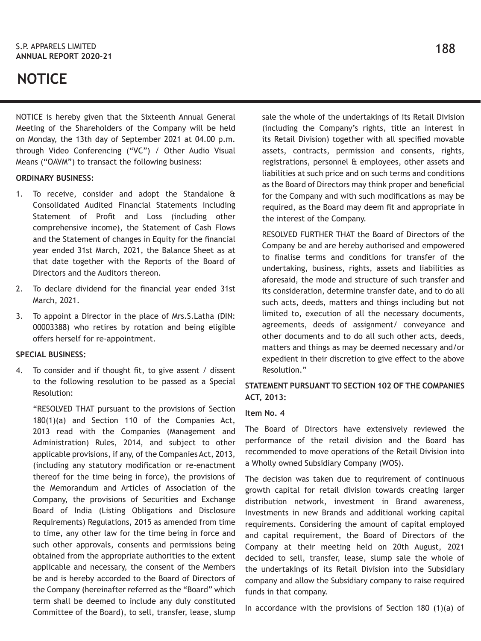# **NOTICE**

NOTICE is hereby given that the Sixteenth Annual General Meeting of the Shareholders of the Company will be held on Monday, the 13th day of September 2021 at 04.00 p.m. through Video Conferencing ("VC") / Other Audio Visual Means ("OAVM") to transact the following business:

## **ORDINARY BUSINESS:**

- 1. To receive, consider and adopt the Standalone & Consolidated Audited Financial Statements including Statement of Profit and Loss (including other comprehensive income), the Statement of Cash Flows and the Statement of changes in Equity for the financial year ended 31st March, 2021, the Balance Sheet as at that date together with the Reports of the Board of Directors and the Auditors thereon.
- 2. To declare dividend for the financial year ended 31st March, 2021.
- 3. To appoint a Director in the place of Mrs.S.Latha (DIN: 00003388) who retires by rotation and being eligible offers herself for re-appointment.

#### **SPECIAL BUSINESS:**

4. To consider and if thought fit, to give assent / dissent to the following resolution to be passed as a Special Resolution:

"RESOLVED THAT pursuant to the provisions of Section 180(1)(a) and Section 110 of the Companies Act, 2013 read with the Companies (Management and Administration) Rules, 2014, and subject to other applicable provisions, if any, of the Companies Act, 2013, (including any statutory modification or re-enactment thereof for the time being in force), the provisions of the Memorandum and Articles of Association of the Company, the provisions of Securities and Exchange Board of India (Listing Obligations and Disclosure Requirements) Regulations, 2015 as amended from time to time, any other law for the time being in force and such other approvals, consents and permissions being obtained from the appropriate authorities to the extent applicable and necessary, the consent of the Members be and is hereby accorded to the Board of Directors of the Company (hereinafter referred as the "Board" which term shall be deemed to include any duly constituted Committee of the Board), to sell, transfer, lease, slump

sale the whole of the undertakings of its Retail Division (including the Company's rights, title an interest in its Retail Division) together with all specified movable assets, contracts, permission and consents, rights, registrations, personnel & employees, other assets and liabilities at such price and on such terms and conditions as the Board of Directors may think proper and beneficial for the Company and with such modifications as may be required, as the Board may deem fit and appropriate in the interest of the Company.

RESOLVED FURTHER THAT the Board of Directors of the Company be and are hereby authorised and empowered to finalise terms and conditions for transfer of the undertaking, business, rights, assets and liabilities as aforesaid, the mode and structure of such transfer and its consideration, determine transfer date, and to do all such acts, deeds, matters and things including but not limited to, execution of all the necessary documents, agreements, deeds of assignment/ conveyance and other documents and to do all such other acts, deeds, matters and things as may be deemed necessary and/or expedient in their discretion to give effect to the above Resolution."

# **STATEMENT PURSUANT TO SECTION 102 OF THE COMPANIES ACT, 2013:**

#### **Item No. 4**

The Board of Directors have extensively reviewed the performance of the retail division and the Board has recommended to move operations of the Retail Division into a Wholly owned Subsidiary Company (WOS).

The decision was taken due to requirement of continuous growth capital for retail division towards creating larger distribution network, investment in Brand awareness, Investments in new Brands and additional working capital requirements. Considering the amount of capital employed and capital requirement, the Board of Directors of the Company at their meeting held on 20th August, 2021 decided to sell, transfer, lease, slump sale the whole of the undertakings of its Retail Division into the Subsidiary company and allow the Subsidiary company to raise required funds in that company.

In accordance with the provisions of Section 180  $(1)(a)$  of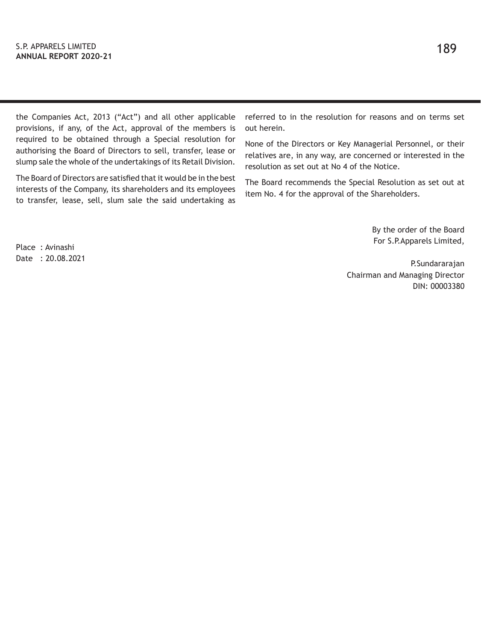## S.P. APPARELS LIMITED **ANNUAL REPORT 2020-21**

the Companies Act, 2013 ("Act") and all other applicable provisions, if any, of the Act, approval of the members is required to be obtained through a Special resolution for authorising the Board of Directors to sell, transfer, lease or slump sale the whole of the undertakings of its Retail Division.

The Board of Directors are satisfied that it would be in the best interests of the Company, its shareholders and its employees to transfer, lease, sell, slum sale the said undertaking as referred to in the resolution for reasons and on terms set out herein.

None of the Directors or Key Managerial Personnel, or their relatives are, in any way, are concerned or interested in the resolution as set out at No 4 of the Notice.

The Board recommends the Special Resolution as set out at item No. 4 for the approval of the Shareholders.

> By the order of the Board For S.P.Apparels Limited,

P.Sundararajan Chairman and Managing Director DIN: 00003380

Place : Avinashi Date : 20.08.2021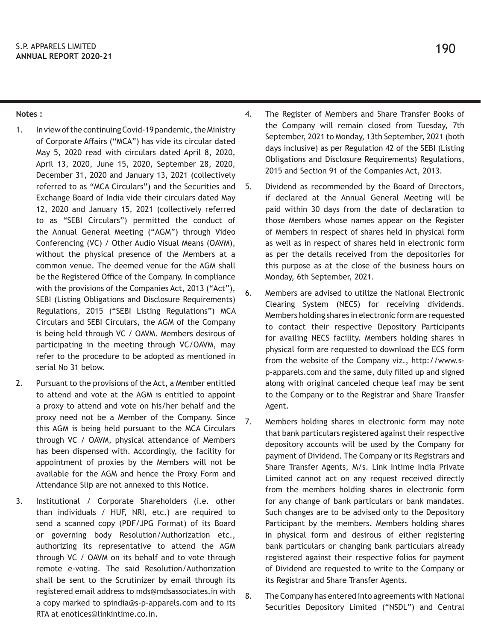# **Notes :**

- 1. In view of the continuing Covid-19 pandemic, the Ministry of Corporate Affairs ("MCA") has vide its circular dated May 5, 2020 read with circulars dated April 8, 2020, April 13, 2020, June 15, 2020, September 28, 2020, December 31, 2020 and January 13, 2021 (collectively referred to as "MCA Circulars") and the Securities and Exchange Board of India vide their circulars dated May 12, 2020 and January 15, 2021 (collectively referred to as "SEBI Circulars") permitted the conduct of the Annual General Meeting ("AGM") through Video Conferencing (VC) / Other Audio Visual Means (OAVM), without the physical presence of the Members at a common venue. The deemed venue for the AGM shall be the Registered Office of the Company. In compliance with the provisions of the Companies Act, 2013 ("Act"), SEBI (Listing Obligations and Disclosure Requirements) Regulations, 2015 ("SEBI Listing Regulations") MCA Circulars and SEBI Circulars, the AGM of the Company is being held through VC / OAVM. Members desirous of participating in the meeting through VC/OAVM, may refer to the procedure to be adopted as mentioned in serial No 31 below.
- 2. Pursuant to the provisions of the Act, a Member entitled to attend and vote at the AGM is entitled to appoint a proxy to attend and vote on his/her behalf and the proxy need not be a Member of the Company. Since this AGM is being held pursuant to the MCA Circulars through VC / OAVM, physical attendance of Members has been dispensed with. Accordingly, the facility for appointment of proxies by the Members will not be available for the AGM and hence the Proxy Form and Attendance Slip are not annexed to this Notice.
- 3. Institutional / Corporate Shareholders (i.e. other than individuals / HUF, NRI, etc.) are required to send a scanned copy (PDF/JPG Format) of its Board or governing body Resolution/Authorization etc., authorizing its representative to attend the AGM through VC / OAVM on its behalf and to vote through remote e-voting. The said Resolution/Authorization shall be sent to the Scrutinizer by email through its registered email address to mds@mdsassociates.in with a copy marked to spindia@s-p-apparels.com and to its RTA at enotices@linkintime.co.in.
- 4. The Register of Members and Share Transfer Books of the Company will remain closed from Tuesday, 7th September, 2021 to Monday, 13th September, 2021 (both days inclusive) as per Regulation 42 of the SEBI (Listing Obligations and Disclosure Requirements) Regulations, 2015 and Section 91 of the Companies Act, 2013.
- 5. Dividend as recommended by the Board of Directors, if declared at the Annual General Meeting will be paid within 30 days from the date of declaration to those Members whose names appear on the Register of Members in respect of shares held in physical form as well as in respect of shares held in electronic form as per the details received from the depositories for this purpose as at the close of the business hours on Monday, 6th September, 2021.
- 6. Members are advised to utilize the National Electronic Clearing System (NECS) for receiving dividends. Members holding shares in electronic form are requested to contact their respective Depository Participants for availing NECS facility. Members holding shares in physical form are requested to download the ECS form from the website of the Company viz., http://www.sp-apparels.com and the same, duly filled up and signed along with original canceled cheque leaf may be sent to the Company or to the Registrar and Share Transfer Agent.
- 7. Members holding shares in electronic form may note that bank particulars registered against their respective depository accounts will be used by the Company for payment of Dividend. The Company or its Registrars and Share Transfer Agents, M/s. Link Intime India Private Limited cannot act on any request received directly from the members holding shares in electronic form for any change of bank particulars or bank mandates. Such changes are to be advised only to the Depository Participant by the members. Members holding shares in physical form and desirous of either registering bank particulars or changing bank particulars already registered against their respective folios for payment of Dividend are requested to write to the Company or its Registrar and Share Transfer Agents.
- 8. The Company has entered into agreements with National Securities Depository Limited ("NSDL") and Central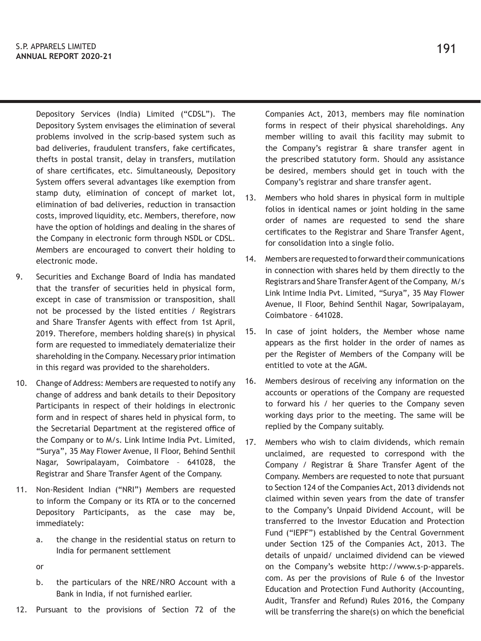Depository Services (India) Limited ("CDSL"). The Depository System envisages the elimination of several problems involved in the scrip-based system such as bad deliveries, fraudulent transfers, fake certificates, thefts in postal transit, delay in transfers, mutilation of share certificates, etc. Simultaneously, Depository System offers several advantages like exemption from stamp duty, elimination of concept of market lot, elimination of bad deliveries, reduction in transaction costs, improved liquidity, etc. Members, therefore, now have the option of holdings and dealing in the shares of the Company in electronic form through NSDL or CDSL. Members are encouraged to convert their holding to electronic mode.

- 9. Securities and Exchange Board of India has mandated that the transfer of securities held in physical form, except in case of transmission or transposition, shall not be processed by the listed entities / Registrars and Share Transfer Agents with effect from 1st April, 2019. Therefore, members holding share(s) in physical form are requested to immediately dematerialize their shareholding in the Company. Necessary prior intimation in this regard was provided to the shareholders.
- 10. Change of Address: Members are requested to notify any change of address and bank details to their Depository Participants in respect of their holdings in electronic form and in respect of shares held in physical form, to the Secretarial Department at the registered office of the Company or to M/s. Link Intime India Pvt. Limited, "Surya", 35 May Flower Avenue, II Floor, Behind Senthil Nagar, Sowripalayam, Coimbatore – 641028, the Registrar and Share Transfer Agent of the Company.
- 11. Non-Resident Indian ("NRI") Members are requested to inform the Company or its RTA or to the concerned Depository Participants, as the case may be, immediately:
	- a. the change in the residential status on return to India for permanent settlement

or

- b. the particulars of the NRE/NRO Account with a Bank in India, if not furnished earlier.
- 12. Pursuant to the provisions of Section 72 of the

Companies Act, 2013, members may file nomination forms in respect of their physical shareholdings. Any member willing to avail this facility may submit to the Company's registrar & share transfer agent in the prescribed statutory form. Should any assistance be desired, members should get in touch with the Company's registrar and share transfer agent.

- 13. Members who hold shares in physical form in multiple folios in identical names or joint holding in the same order of names are requested to send the share certificates to the Registrar and Share Transfer Agent, for consolidation into a single folio.
- 14. Members are requested to forward their communications in connection with shares held by them directly to the Registrars and Share Transfer Agent of the Company, M/s Link Intime India Pvt. Limited, "Surya", 35 May Flower Avenue, II Floor, Behind Senthil Nagar, Sowripalayam, Coimbatore – 641028.
- 15. In case of joint holders, the Member whose name appears as the first holder in the order of names as per the Register of Members of the Company will be entitled to vote at the AGM.
- 16. Members desirous of receiving any information on the accounts or operations of the Company are requested to forward his / her queries to the Company seven working days prior to the meeting. The same will be replied by the Company suitably.
- 17. Members who wish to claim dividends, which remain unclaimed, are requested to correspond with the Company / Registrar & Share Transfer Agent of the Company. Members are requested to note that pursuant to Section 124 of the Companies Act, 2013 dividends not claimed within seven years from the date of transfer to the Company's Unpaid Dividend Account, will be transferred to the Investor Education and Protection Fund ("IEPF") established by the Central Government under Section 125 of the Companies Act, 2013. The details of unpaid/ unclaimed dividend can be viewed on the Company's website http://www.s-p-apparels. com. As per the provisions of Rule 6 of the Investor Education and Protection Fund Authority (Accounting, Audit, Transfer and Refund) Rules 2016, the Company will be transferring the share(s) on which the beneficial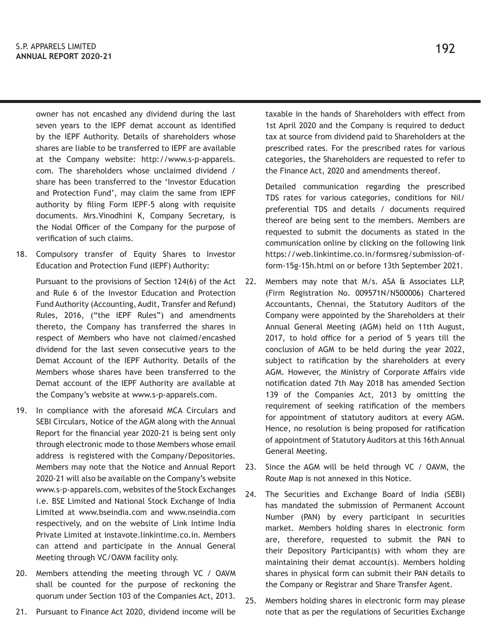owner has not encashed any dividend during the last seven years to the IEPF demat account as identified by the IEPF Authority. Details of shareholders whose shares are liable to be transferred to IEPF are available at the Company website: http://www.s-p-apparels. com. The shareholders whose unclaimed dividend / share has been transferred to the 'Investor Education and Protection Fund', may claim the same from IEPF authority by filing Form IEPF-5 along with requisite documents. Mrs.Vinodhini K, Company Secretary, is the Nodal Officer of the Company for the purpose of verification of such claims.

18. Compulsory transfer of Equity Shares to Investor Education and Protection Fund (IEPF) Authority:

Pursuant to the provisions of Section 124(6) of the Act and Rule 6 of the Investor Education and Protection Fund Authority (Accounting, Audit, Transfer and Refund) Rules, 2016, ("the IEPF Rules") and amendments thereto, the Company has transferred the shares in respect of Members who have not claimed/encashed dividend for the last seven consecutive years to the Demat Account of the IEPF Authority. Details of the Members whose shares have been transferred to the Demat account of the IEPF Authority are available at the Company's website at www.s-p-apparels.com.

- 19. In compliance with the aforesaid MCA Circulars and SEBI Circulars, Notice of the AGM along with the Annual Report for the financial year 2020-21 is being sent only through electronic mode to those Members whose email address is registered with the Company/Depositories. Members may note that the Notice and Annual Report 2020-21 will also be available on the Company's website www.s-p-apparels.com, websites of the Stock Exchanges i.e. BSE Limited and National Stock Exchange of India Limited at www.bseindia.com and www.nseindia.com respectively, and on the website of Link Intime India Private Limited at instavote.linkintime.co.in. Members can attend and participate in the Annual General Meeting through VC/OAVM facility only.
- 20. Members attending the meeting through VC / OAVM shall be counted for the purpose of reckoning the quorum under Section 103 of the Companies Act, 2013.
- 21. Pursuant to Finance Act 2020, dividend income will be

taxable in the hands of Shareholders with effect from 1st April 2020 and the Company is required to deduct tax at source from dividend paid to Shareholders at the prescribed rates. For the prescribed rates for various categories, the Shareholders are requested to refer to the Finance Act, 2020 and amendments thereof.

Detailed communication regarding the prescribed TDS rates for various categories, conditions for Nil/ preferential TDS and details / documents required thereof are being sent to the members. Members are requested to submit the documents as stated in the communication online by clicking on the following link https://web.linkintime.co.in/formsreg/submission-ofform-15g-15h.html on or before 13th September 2021.

- 22. Members may note that M/s. ASA & Associates LLP, (Firm Registration No. 009571N/N500006) Chartered Accountants, Chennai, the Statutory Auditors of the Company were appointed by the Shareholders at their Annual General Meeting (AGM) held on 11th August, 2017, to hold office for a period of 5 years till the conclusion of AGM to be held during the year 2022, subject to ratification by the shareholders at every AGM. However, the Ministry of Corporate Affairs vide notification dated 7th May 2018 has amended Section 139 of the Companies Act, 2013 by omitting the requirement of seeking ratification of the members for appointment of statutory auditors at every AGM. Hence, no resolution is being proposed for ratification of appointment of Statutory Auditors at this 16th Annual General Meeting.
- 23. Since the AGM will be held through VC / OAVM, the Route Map is not annexed in this Notice.
- 24. The Securities and Exchange Board of India (SEBI) has mandated the submission of Permanent Account Number (PAN) by every participant in securities market. Members holding shares in electronic form are, therefore, requested to submit the PAN to their Depository Participant(s) with whom they are maintaining their demat account(s). Members holding shares in physical form can submit their PAN details to the Company or Registrar and Share Transfer Agent.
- 25. Members holding shares in electronic form may please note that as per the regulations of Securities Exchange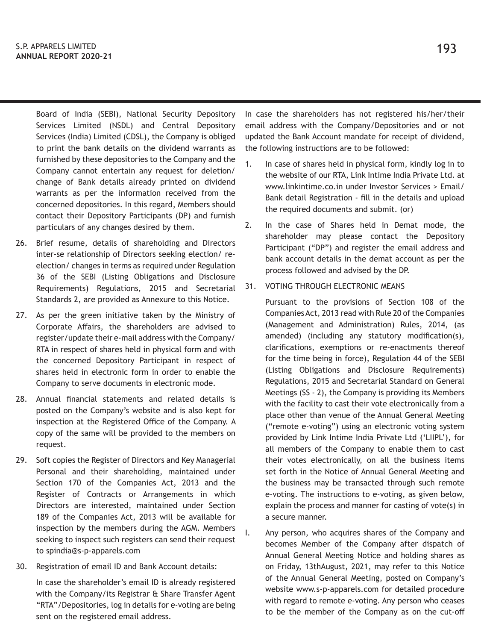Board of India (SEBI), National Security Depository Services Limited (NSDL) and Central Depository Services (India) Limited (CDSL), the Company is obliged to print the bank details on the dividend warrants as furnished by these depositories to the Company and the Company cannot entertain any request for deletion/ change of Bank details already printed on dividend warrants as per the information received from the concerned depositories. In this regard, Members should contact their Depository Participants (DP) and furnish particulars of any changes desired by them.

- 26. Brief resume, details of shareholding and Directors inter-se relationship of Directors seeking election/ reelection/ changes in terms as required under Regulation 36 of the SEBI (Listing Obligations and Disclosure Requirements) Regulations, 2015 and Secretarial Standards 2, are provided as Annexure to this Notice.
- 27. As per the green initiative taken by the Ministry of Corporate Affairs, the shareholders are advised to register/update their e-mail address with the Company/ RTA in respect of shares held in physical form and with the concerned Depository Participant in respect of shares held in electronic form in order to enable the Company to serve documents in electronic mode.
- 28. Annual financial statements and related details is posted on the Company's website and is also kept for inspection at the Registered Office of the Company. A copy of the same will be provided to the members on request.
- 29. Soft copies the Register of Directors and Key Managerial Personal and their shareholding, maintained under Section 170 of the Companies Act, 2013 and the Register of Contracts or Arrangements in which Directors are interested, maintained under Section 189 of the Companies Act, 2013 will be available for inspection by the members during the AGM. Members seeking to inspect such registers can send their request to spindia@s-p-apparels.com
- 30. Registration of email ID and Bank Account details:

In case the shareholder's email ID is already registered with the Company/its Registrar & Share Transfer Agent "RTA"/Depositories, log in details for e-voting are being sent on the registered email address.

In case the shareholders has not registered his/her/their email address with the Company/Depositories and or not updated the Bank Account mandate for receipt of dividend, the following instructions are to be followed:

- 1. In case of shares held in physical form, kindly log in to the website of our RTA, Link Intime India Private Ltd. at www.linkintime.co.in under Investor Services > Email/ Bank detail Registration - fill in the details and upload the required documents and submit. (or)
- 2. In the case of Shares held in Demat mode, the shareholder may please contact the Depository Participant ("DP") and register the email address and bank account details in the demat account as per the process followed and advised by the DP.
- 31. VOTING THROUGH ELECTRONIC MEANS

Pursuant to the provisions of Section 108 of the Companies Act, 2013 read with Rule 20 of the Companies (Management and Administration) Rules, 2014, (as amended) (including any statutory modification(s), clarifications, exemptions or re-enactments thereof for the time being in force), Regulation 44 of the SEBI (Listing Obligations and Disclosure Requirements) Regulations, 2015 and Secretarial Standard on General Meetings (SS - 2), the Company is providing its Members with the facility to cast their vote electronically from a place other than venue of the Annual General Meeting ("remote e-voting") using an electronic voting system provided by Link Intime India Private Ltd ('LIIPL'), for all members of the Company to enable them to cast their votes electronically, on all the business items set forth in the Notice of Annual General Meeting and the business may be transacted through such remote e-voting. The instructions to e-voting, as given below, explain the process and manner for casting of vote(s) in a secure manner.

I. Any person, who acquires shares of the Company and becomes Member of the Company after dispatch of Annual General Meeting Notice and holding shares as on Friday, 13thAugust, 2021, may refer to this Notice of the Annual General Meeting, posted on Company's website www.s-p-apparels.com for detailed procedure with regard to remote e-voting. Any person who ceases to be the member of the Company as on the cut-off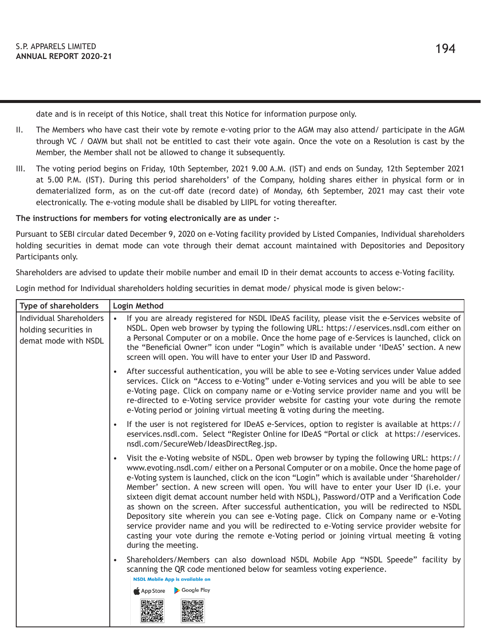date and is in receipt of this Notice, shall treat this Notice for information purpose only.

- II. The Members who have cast their vote by remote e-voting prior to the AGM may also attend/ participate in the AGM through VC / OAVM but shall not be entitled to cast their vote again. Once the vote on a Resolution is cast by the Member, the Member shall not be allowed to change it subsequently.
- III. The voting period begins on Friday, 10th September, 2021 9.00 A.M. (IST) and ends on Sunday, 12th September 2021 at 5.00 P.M. (IST). During this period shareholders' of the Company, holding shares either in physical form or in dematerialized form, as on the cut-off date (record date) of Monday, 6th September, 2021 may cast their vote electronically. The e-voting module shall be disabled by LIIPL for voting thereafter.

## **The instructions for members for voting electronically are as under :-**

Pursuant to SEBI circular dated December 9, 2020 on e-Voting facility provided by Listed Companies, Individual shareholders holding securities in demat mode can vote through their demat account maintained with Depositories and Depository Participants only.

Shareholders are advised to update their mobile number and email ID in their demat accounts to access e-Voting facility.

Login method for Individual shareholders holding securities in demat mode/ physical mode is given below:-

| Type of shareholders                                                     | <b>Login Method</b>                                                                                                                                                                                                                                                                                                                                                                                                                                                                                                                                                                                                                                                                                                                                                                                                                                                                           |
|--------------------------------------------------------------------------|-----------------------------------------------------------------------------------------------------------------------------------------------------------------------------------------------------------------------------------------------------------------------------------------------------------------------------------------------------------------------------------------------------------------------------------------------------------------------------------------------------------------------------------------------------------------------------------------------------------------------------------------------------------------------------------------------------------------------------------------------------------------------------------------------------------------------------------------------------------------------------------------------|
| Individual Shareholders<br>holding securities in<br>demat mode with NSDL | If you are already registered for NSDL IDeAS facility, please visit the e-Services website of<br>$\bullet$<br>NSDL. Open web browser by typing the following URL: https://eservices.nsdl.com either on<br>a Personal Computer or on a mobile. Once the home page of e-Services is launched, click on<br>the "Beneficial Owner" icon under "Login" which is available under 'IDeAS' section. A new<br>screen will open. You will have to enter your User ID and Password.                                                                                                                                                                                                                                                                                                                                                                                                                      |
|                                                                          | After successful authentication, you will be able to see e-Voting services under Value added<br>$\bullet$<br>services. Click on "Access to e-Voting" under e-Voting services and you will be able to see<br>e-Voting page. Click on company name or e-Voting service provider name and you will be<br>re-directed to e-Voting service provider website for casting your vote during the remote<br>e-Voting period or joining virtual meeting & voting during the meeting.                                                                                                                                                                                                                                                                                                                                                                                                                     |
|                                                                          | If the user is not registered for IDeAS e-Services, option to register is available at https://<br>$\bullet$<br>eservices.nsdl.com. Select "Register Online for IDeAS "Portal or click at https://eservices.<br>nsdl.com/SecureWeb/IdeasDirectReg.jsp.                                                                                                                                                                                                                                                                                                                                                                                                                                                                                                                                                                                                                                        |
|                                                                          | Visit the e-Voting website of NSDL. Open web browser by typing the following URL: https://<br>$\bullet$<br>www.evoting.nsdl.com/either on a Personal Computer or on a mobile. Once the home page of<br>e-Voting system is launched, click on the icon "Login" which is available under 'Shareholder/<br>Member' section. A new screen will open. You will have to enter your User ID (i.e. your<br>sixteen digit demat account number held with NSDL), Password/OTP and a Verification Code<br>as shown on the screen. After successful authentication, you will be redirected to NSDL<br>Depository site wherein you can see e-Voting page. Click on Company name or e-Voting<br>service provider name and you will be redirected to e-Voting service provider website for<br>casting your vote during the remote e-Voting period or joining virtual meeting & voting<br>during the meeting. |
|                                                                          | Shareholders/Members can also download NSDL Mobile App "NSDL Speede" facility by<br>$\bullet$<br>scanning the QR code mentioned below for seamless voting experience.<br><b>NSDL Mobile App is available on</b><br>App Store<br>Google Play                                                                                                                                                                                                                                                                                                                                                                                                                                                                                                                                                                                                                                                   |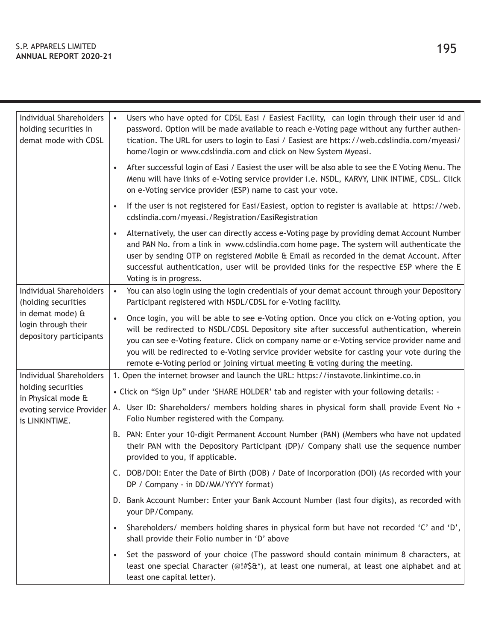| Individual Shareholders<br>holding securities in<br>demat mode with CDSL                                                    | Users who have opted for CDSL Easi / Easiest Facility, can login through their user id and<br>$\bullet$<br>password. Option will be made available to reach e-Voting page without any further authen-<br>tication. The URL for users to login to Easi / Easiest are https://web.cdslindia.com/myeasi/<br>home/login or www.cdslindia.com and click on New System Myeasi.                                                                                               |
|-----------------------------------------------------------------------------------------------------------------------------|------------------------------------------------------------------------------------------------------------------------------------------------------------------------------------------------------------------------------------------------------------------------------------------------------------------------------------------------------------------------------------------------------------------------------------------------------------------------|
|                                                                                                                             | After successful login of Easi / Easiest the user will be also able to see the E Voting Menu. The<br>Menu will have links of e-Voting service provider i.e. NSDL, KARVY, LINK INTIME, CDSL. Click<br>on e-Voting service provider (ESP) name to cast your vote.                                                                                                                                                                                                        |
|                                                                                                                             | If the user is not registered for Easi/Easiest, option to register is available at https://web.<br>cdslindia.com/myeasi./Registration/EasiRegistration                                                                                                                                                                                                                                                                                                                 |
|                                                                                                                             | Alternatively, the user can directly access e-Voting page by providing demat Account Number<br>and PAN No. from a link in www.cdslindia.com home page. The system will authenticate the<br>user by sending OTP on registered Mobile & Email as recorded in the demat Account. After<br>successful authentication, user will be provided links for the respective ESP where the E<br>Voting is in progress.                                                             |
| <b>Individual Shareholders</b><br>(holding securities<br>in demat mode) &<br>login through their<br>depository participants | You can also login using the login credentials of your demat account through your Depository<br>$\bullet$<br>Participant registered with NSDL/CDSL for e-Voting facility.                                                                                                                                                                                                                                                                                              |
|                                                                                                                             | Once login, you will be able to see e-Voting option. Once you click on e-Voting option, you<br>will be redirected to NSDL/CDSL Depository site after successful authentication, wherein<br>you can see e-Voting feature. Click on company name or e-Voting service provider name and<br>you will be redirected to e-Voting service provider website for casting your vote during the<br>remote e-Voting period or joining virtual meeting & voting during the meeting. |
| <b>Individual Shareholders</b>                                                                                              | 1. Open the internet browser and launch the URL: https://instavote.linkintime.co.in                                                                                                                                                                                                                                                                                                                                                                                    |
| holding securities<br>in Physical mode &                                                                                    | . Click on "Sign Up" under 'SHARE HOLDER' tab and register with your following details: -                                                                                                                                                                                                                                                                                                                                                                              |
| evoting service Provider<br>is LINKINTIME.                                                                                  | A. User ID: Shareholders/ members holding shares in physical form shall provide Event No +<br>Folio Number registered with the Company.                                                                                                                                                                                                                                                                                                                                |
|                                                                                                                             | B. PAN: Enter your 10-digit Permanent Account Number (PAN) (Members who have not updated<br>their PAN with the Depository Participant (DP)/ Company shall use the sequence number<br>provided to you, if applicable.                                                                                                                                                                                                                                                   |
|                                                                                                                             | C. DOB/DOI: Enter the Date of Birth (DOB) / Date of Incorporation (DOI) (As recorded with your<br>DP / Company - in DD/MM/YYYY format)                                                                                                                                                                                                                                                                                                                                 |
|                                                                                                                             | D. Bank Account Number: Enter your Bank Account Number (last four digits), as recorded with<br>your DP/Company.                                                                                                                                                                                                                                                                                                                                                        |
|                                                                                                                             | Shareholders/ members holding shares in physical form but have not recorded 'C' and 'D',<br>shall provide their Folio number in 'D' above                                                                                                                                                                                                                                                                                                                              |
|                                                                                                                             | Set the password of your choice (The password should contain minimum 8 characters, at<br>least one special Character (@!#\$&*), at least one numeral, at least one alphabet and at<br>least one capital letter).                                                                                                                                                                                                                                                       |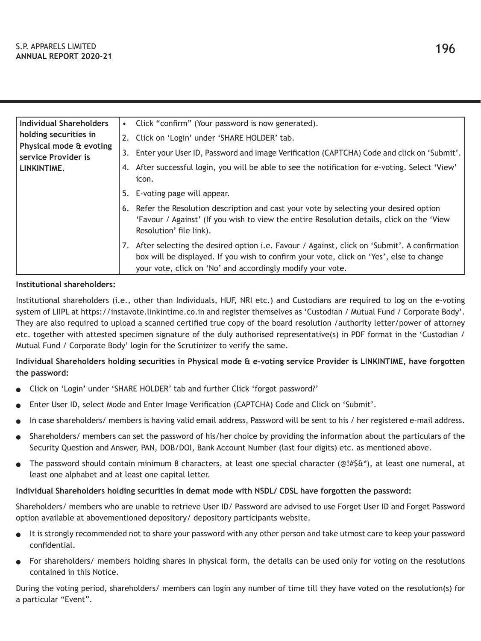| Individual Shareholders<br>holding securities in<br>Physical mode & evoting<br>service Provider is<br>LINKINTIME. |    | Click "confirm" (Your password is now generated).                                                                                                                                                                                                    |
|-------------------------------------------------------------------------------------------------------------------|----|------------------------------------------------------------------------------------------------------------------------------------------------------------------------------------------------------------------------------------------------------|
|                                                                                                                   |    | 2. Click on 'Login' under 'SHARE HOLDER' tab.                                                                                                                                                                                                        |
|                                                                                                                   | 3. | Enter your User ID, Password and Image Verification (CAPTCHA) Code and click on 'Submit'.                                                                                                                                                            |
|                                                                                                                   |    | 4. After successful login, you will be able to see the notification for e-voting. Select 'View'<br>icon.                                                                                                                                             |
|                                                                                                                   |    | 5. E-voting page will appear.                                                                                                                                                                                                                        |
|                                                                                                                   |    | 6. Refer the Resolution description and cast your vote by selecting your desired option<br>'Favour / Against' (If you wish to view the entire Resolution details, click on the 'View<br>Resolution' file link).                                      |
|                                                                                                                   |    | After selecting the desired option i.e. Favour / Against, click on 'Submit'. A confirmation<br>box will be displayed. If you wish to confirm your vote, click on 'Yes', else to change<br>your vote, click on 'No' and accordingly modify your vote. |

## **Institutional shareholders:**

Institutional shareholders (i.e., other than Individuals, HUF, NRI etc.) and Custodians are required to log on the e-voting system of LIIPL at https://instavote.linkintime.co.in and register themselves as 'Custodian / Mutual Fund / Corporate Body'. They are also required to upload a scanned certified true copy of the board resolution /authority letter/power of attorney etc. together with attested specimen signature of the duly authorised representative(s) in PDF format in the 'Custodian / Mutual Fund / Corporate Body' login for the Scrutinizer to verify the same.

**Individual Shareholders holding securities in Physical mode & e-voting service Provider is LINKINTIME, have forgotten the password:**

- <sup>l</sup> Click on 'Login' under 'SHARE HOLDER' tab and further Click 'forgot password?'
- <sup>l</sup> Enter User ID, select Mode and Enter Image Verification (CAPTCHA) Code and Click on 'Submit'.
- In case shareholders/ members is having valid email address, Password will be sent to his / her registered e-mail address.
- <sup>l</sup> Shareholders/ members can set the password of his/her choice by providing the information about the particulars of the Security Question and Answer, PAN, DOB/DOI, Bank Account Number (last four digits) etc. as mentioned above.
- The password should contain minimum 8 characters, at least one special character (@!#\$&\*), at least one numeral, at least one alphabet and at least one capital letter.

## **Individual Shareholders holding securities in demat mode with NSDL/ CDSL have forgotten the password:**

Shareholders/ members who are unable to retrieve User ID/ Password are advised to use Forget User ID and Forget Password option available at abovementioned depository/ depository participants website.

- <sup>l</sup> It is strongly recommended not to share your password with any other person and take utmost care to keep your password confidential.
- <sup>l</sup> For shareholders/ members holding shares in physical form, the details can be used only for voting on the resolutions contained in this Notice.

During the voting period, shareholders/ members can login any number of time till they have voted on the resolution(s) for a particular "Event".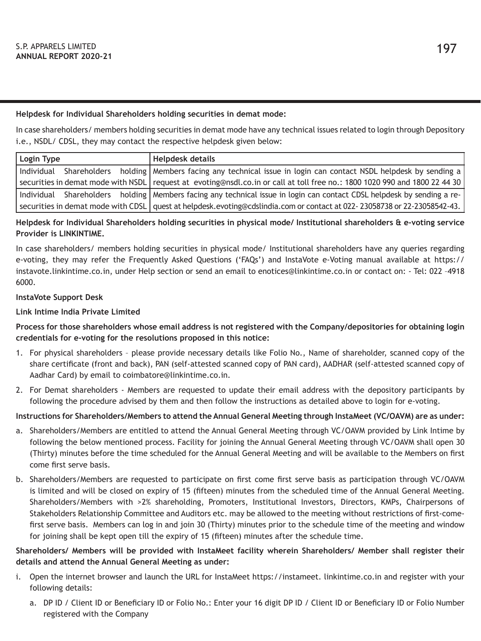## **Helpdesk for Individual Shareholders holding securities in demat mode:**

In case shareholders/ members holding securities in demat mode have any technical issues related to login through Depository i.e., NSDL/ CDSL, they may contact the respective helpdesk given below:

| Login Type | <b>Helpdesk details</b>                                                                                                      |  |  |
|------------|------------------------------------------------------------------------------------------------------------------------------|--|--|
|            | Individual Shareholders holding   Members facing any technical issue in login can contact NSDL helpdesk by sending a         |  |  |
|            | securities in demat mode with NSDL   request at evoting@nsdl.co.in or call at toll free no.: 1800 1020 990 and 1800 22 44 30 |  |  |
|            | Individual Shareholders holding   Members facing any technical issue in login can contact CDSL helpdesk by sending a re-     |  |  |
|            | securities in demat mode with CDSL   quest at helpdesk.evoting@cdslindia.com or contact at 022- 23058738 or 22-23058542-43.  |  |  |

# **Helpdesk for Individual Shareholders holding securities in physical mode/ Institutional shareholders & e-voting service Provider is LINKINTIME.**

In case shareholders/ members holding securities in physical mode/ Institutional shareholders have any queries regarding e-voting, they may refer the Frequently Asked Questions ('FAQs') and InstaVote e-Voting manual available at https:// instavote.linkintime.co.in, under Help section or send an email to enotices@linkintime.co.in or contact on: - Tel: 022 –4918 6000.

## **InstaVote Support Desk**

# **Link Intime India Private Limited**

**Process for those shareholders whose email address is not registered with the Company/depositories for obtaining login credentials for e-voting for the resolutions proposed in this notice:**

- 1. For physical shareholders please provide necessary details like Folio No., Name of shareholder, scanned copy of the share certificate (front and back), PAN (self-attested scanned copy of PAN card), AADHAR (self-attested scanned copy of Aadhar Card) by email to coimbatore@linkintime.co.in.
- 2. For Demat shareholders Members are requested to update their email address with the depository participants by following the procedure advised by them and then follow the instructions as detailed above to login for e-voting.

## **Instructions for Shareholders/Members to attend the Annual General Meeting through InstaMeet (VC/OAVM) are as under:**

- a. Shareholders/Members are entitled to attend the Annual General Meeting through VC/OAVM provided by Link Intime by following the below mentioned process. Facility for joining the Annual General Meeting through VC/OAVM shall open 30 (Thirty) minutes before the time scheduled for the Annual General Meeting and will be available to the Members on first come first serve basis.
- b. Shareholders/Members are requested to participate on first come first serve basis as participation through VC/OAVM is limited and will be closed on expiry of 15 (fifteen) minutes from the scheduled time of the Annual General Meeting. Shareholders/Members with >2% shareholding, Promoters, Institutional Investors, Directors, KMPs, Chairpersons of Stakeholders Relationship Committee and Auditors etc. may be allowed to the meeting without restrictions of first-comefirst serve basis. Members can log in and join 30 (Thirty) minutes prior to the schedule time of the meeting and window for joining shall be kept open till the expiry of 15 (fifteen) minutes after the schedule time.

# **Shareholders/ Members will be provided with InstaMeet facility wherein Shareholders/ Member shall register their details and attend the Annual General Meeting as under:**

- i. Open the internet browser and launch the URL for InstaMeet https://instameet. linkintime.co.in and register with your following details:
	- a. DP ID / Client ID or Beneficiary ID or Folio No.: Enter your 16 digit DP ID / Client ID or Beneficiary ID or Folio Number registered with the Company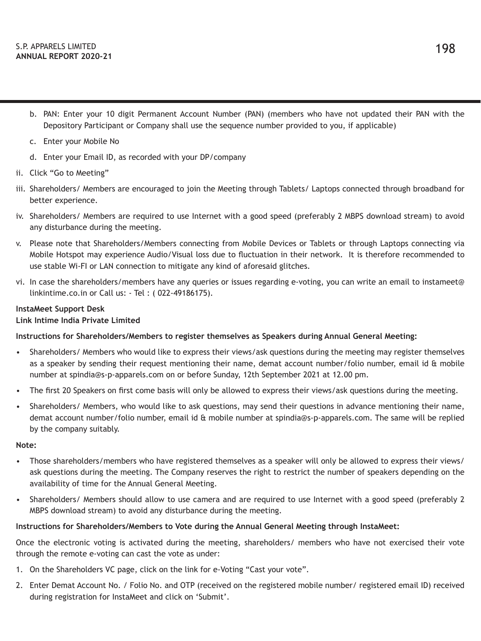- b. PAN: Enter your 10 digit Permanent Account Number (PAN) (members who have not updated their PAN with the Depository Participant or Company shall use the sequence number provided to you, if applicable)
- c. Enter your Mobile No
- d. Enter your Email ID, as recorded with your DP/company
- ii. Click "Go to Meeting"
- iii. Shareholders/ Members are encouraged to join the Meeting through Tablets/ Laptops connected through broadband for better experience.
- iv. Shareholders/ Members are required to use Internet with a good speed (preferably 2 MBPS download stream) to avoid any disturbance during the meeting.
- v. Please note that Shareholders/Members connecting from Mobile Devices or Tablets or through Laptops connecting via Mobile Hotspot may experience Audio/Visual loss due to fluctuation in their network. It is therefore recommended to use stable Wi-FI or LAN connection to mitigate any kind of aforesaid glitches.
- vi. In case the shareholders/members have any queries or issues regarding e-voting, you can write an email to instameet@ linkintime.co.in or Call us: - Tel : ( 022-49186175).

# **InstaMeet Support Desk**

## **Link Intime India Private Limited**

## **Instructions for Shareholders/Members to register themselves as Speakers during Annual General Meeting:**

- Shareholders/ Members who would like to express their views/ask questions during the meeting may register themselves as a speaker by sending their request mentioning their name, demat account number/folio number, email id & mobile number at spindia@s-p-apparels.com on or before Sunday, 12th September 2021 at 12.00 pm.
- The first 20 Speakers on first come basis will only be allowed to express their views/ask questions during the meeting.
- Shareholders/ Members, who would like to ask questions, may send their questions in advance mentioning their name, demat account number/folio number, email id & mobile number at spindia@s-p-apparels.com. The same will be replied by the company suitably.

#### **Note:**

- Those shareholders/members who have registered themselves as a speaker will only be allowed to express their views/ ask questions during the meeting. The Company reserves the right to restrict the number of speakers depending on the availability of time for the Annual General Meeting.
- Shareholders/ Members should allow to use camera and are required to use Internet with a good speed (preferably 2 MBPS download stream) to avoid any disturbance during the meeting.

## **Instructions for Shareholders/Members to Vote during the Annual General Meeting through InstaMeet:**

Once the electronic voting is activated during the meeting, shareholders/ members who have not exercised their vote through the remote e-voting can cast the vote as under:

- 1. On the Shareholders VC page, click on the link for e-Voting "Cast your vote".
- 2. Enter Demat Account No. / Folio No. and OTP (received on the registered mobile number/ registered email ID) received during registration for InstaMeet and click on 'Submit'.